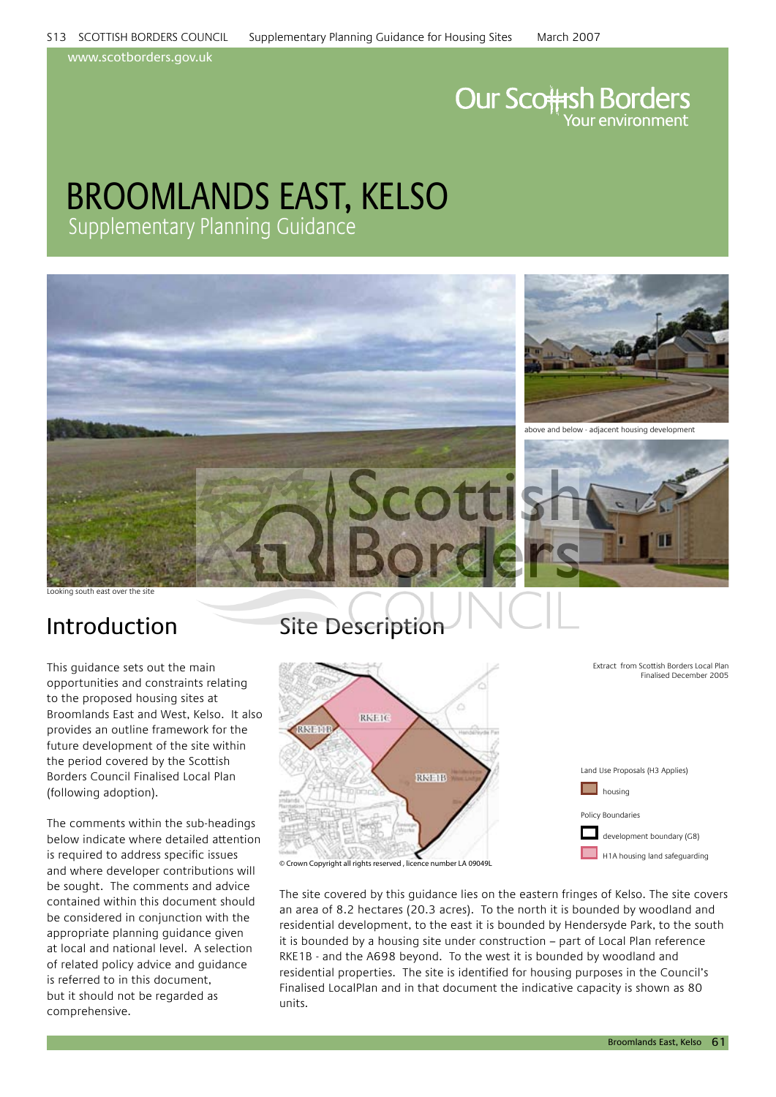www.scotborders.gov.uk

# **Our Scottsh Borders**

## broomlands east, kelso Supplementary Planning Guidance



Looking south east over the site

This guidance sets out the main opportunities and constraints relating to the proposed housing sites at Broomlands East and West, Kelso. It also provides an outline framework for the future development of the site within the period covered by the Scottish Borders Council Finalised Local Plan (following adoption).

The comments within the sub-headings below indicate where detailed attention is required to address specific issues and where developer contributions will be sought. The comments and advice contained within this document should be considered in conjunction with the appropriate planning guidance given at local and national level. A selection of related policy advice and guidance is referred to in this document, but it should not be regarded as comprehensive.

### Introduction Site Description



The site covered by this guidance lies on the eastern fringes of Kelso. The site covers an area of 8.2 hectares (20.3 acres). To the north it is bounded by woodland and residential development, to the east it is bounded by Hendersyde Park, to the south it is bounded by a housing site under construction – part of Local Plan reference RKE1B - and the A698 beyond. To the west it is bounded by woodland and residential properties. The site is identified for housing purposes in the Council's Finalised LocalPlan and in that document the indicative capacity is shown as 80 units.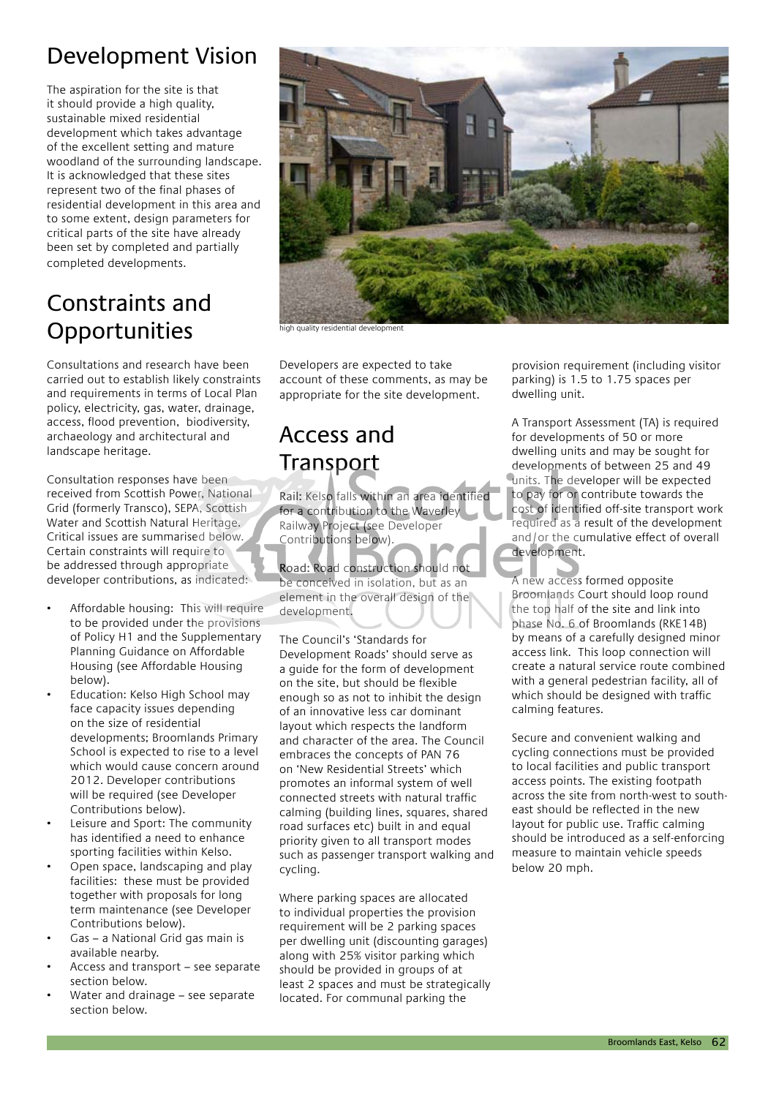### Development Vision

The aspiration for the site is that it should provide a high quality, sustainable mixed residential development which takes advantage of the excellent setting and mature woodland of the surrounding landscape. It is acknowledged that these sites represent two of the final phases of residential development in this area and to some extent, design parameters for critical parts of the site have already been set by completed and partially completed developments.

### Constraints and **Opportunities**

Consultations and research have been carried out to establish likely constraints and requirements in terms of Local Plan policy, electricity, gas, water, drainage, access, flood prevention, biodiversity, archaeology and architectural and landscape heritage.

Consultation responses have been received from Scottish Power, National Grid (formerly Transco), SEPA, Scottish Water and Scottish Natural Heritage. Critical issues are summarised below. Certain constraints will require to be addressed through appropriate developer contributions, as indicated:

- Affordable housing: This will require to be provided under the provisions of Policy H1 and the Supplementary Planning Guidance on Affordable Housing (see Affordable Housing below).
- Education: Kelso High School may face capacity issues depending on the size of residential developments; Broomlands Primary School is expected to rise to a level which would cause concern around 2012. Developer contributions will be required (see Developer Contributions below).
- Leisure and Sport: The community has identified a need to enhance sporting facilities within Kelso.
- Open space, landscaping and play facilities: these must be provided together with proposals for long term maintenance (see Developer Contributions below).
- Gas a National Grid gas main is available nearby.
- Access and transport see separate section below.
- Water and drainage see separate section below.



high quality residential development

Developers are expected to take account of these comments, as may be appropriate for the site development.

### Access and **Transport**

Rail: Kelso falls within an area identified for a contribution to the Waverley Railway Project (see Developer Contributions below).

Road: Road construction should not be conceived in isolation, but as an element in the overall design of the development.

The Council's 'Standards for Development Roads' should serve as a guide for the form of development on the site, but should be flexible enough so as not to inhibit the design of an innovative less car dominant layout which respects the landform and character of the area. The Council embraces the concepts of PAN 76 on 'New Residential Streets' which promotes an informal system of well connected streets with natural traffic calming (building lines, squares, shared road surfaces etc) built in and equal priority given to all transport modes such as passenger transport walking and cycling.

Where parking spaces are allocated to individual properties the provision requirement will be 2 parking spaces per dwelling unit (discounting garages) along with 25% visitor parking which should be provided in groups of at least 2 spaces and must be strategically located. For communal parking the

provision requirement (including visitor parking) is 1.5 to 1.75 spaces per dwelling unit.

A Transport Assessment (TA) is required for developments of 50 or more dwelling units and may be sought for developments of between 25 and 49 units. The developer will be expected to pay for or contribute towards the cost of identified off-site transport work required as a result of the development and/or the cumulative effect of overall development.

A new access formed opposite Broomlands Court should loop round the top half of the site and link into phase No. 6 of Broomlands (RKE14B) by means of a carefully designed minor access link. This loop connection will create a natural service route combined with a general pedestrian facility, all of which should be designed with traffic calming features.

Secure and convenient walking and cycling connections must be provided to local facilities and public transport access points. The existing footpath across the site from north-west to southeast should be reflected in the new layout for public use. Traffic calming should be introduced as a self-enforcing measure to maintain vehicle speeds below 20 mph.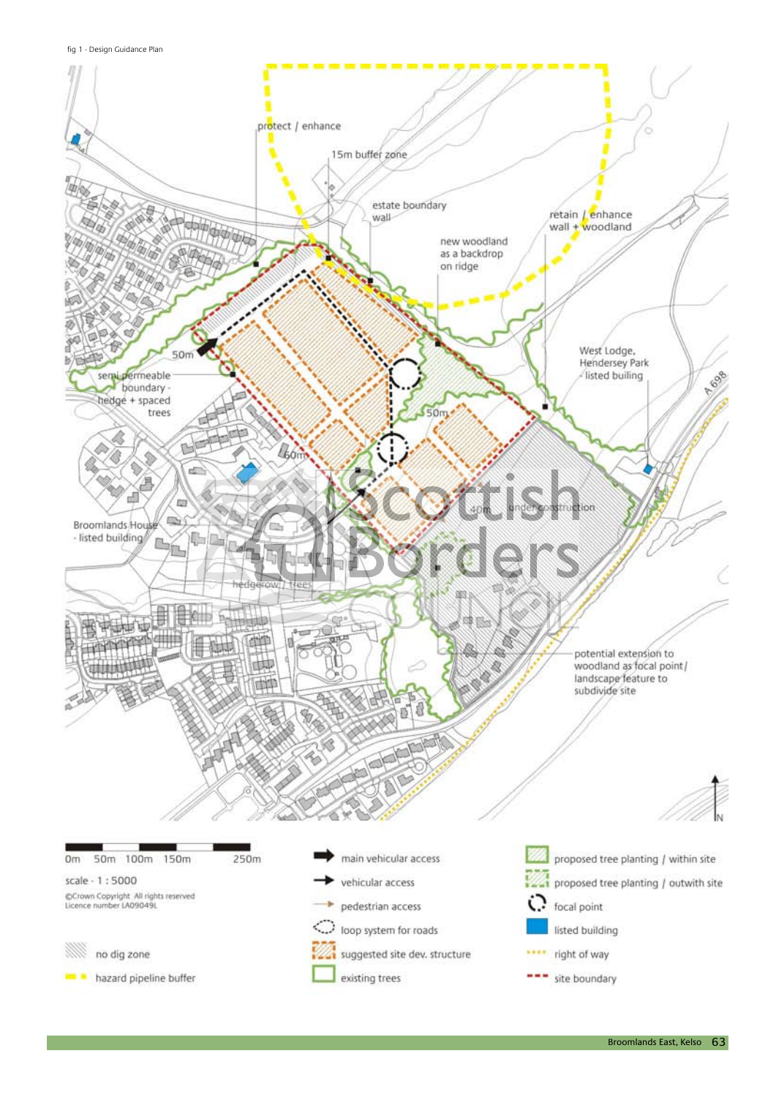fig 1 - Design Guidance Plan

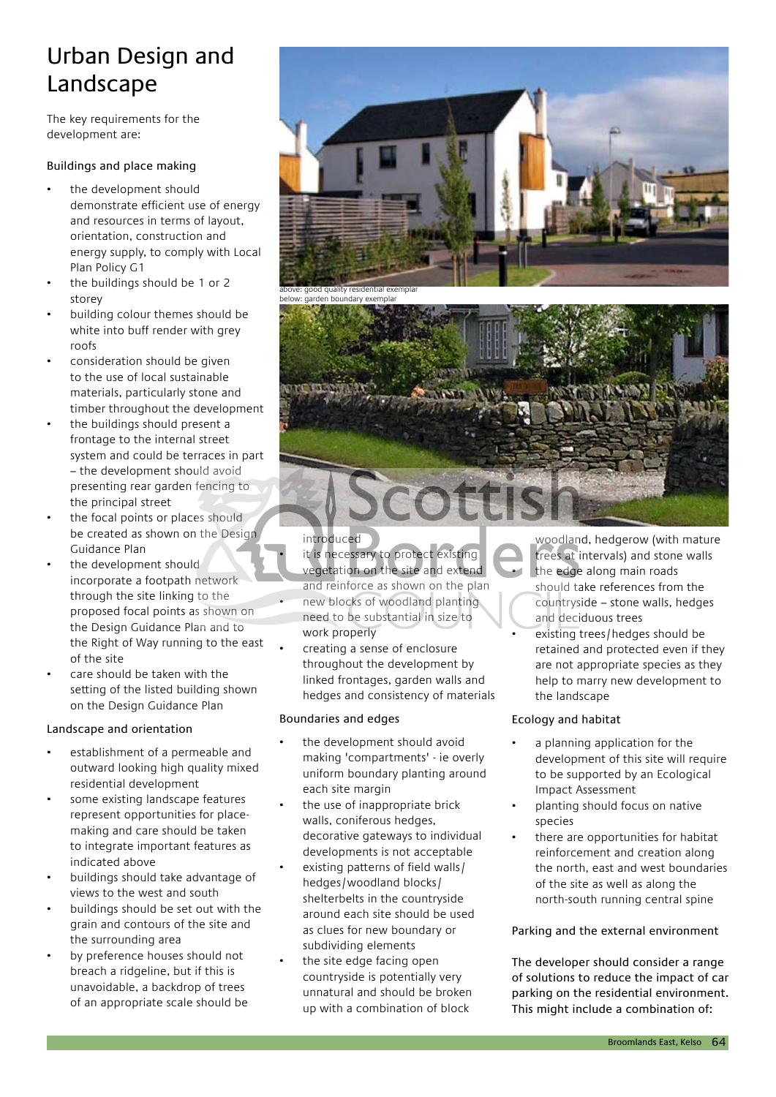### Urban Design and Landscape

The key requirements for the development are:

#### Buildings and place making

- the development should demonstrate efficient use of energy and resources in terms of layout, orientation, construction and energy supply, to comply with Local Plan Policy G1
- the buildings should be 1 or 2 storey
- building colour themes should be white into buff render with grey roofs
- consideration should be given to the use of local sustainable materials, particularly stone and timber throughout the development
- the buildings should present a frontage to the internal street system and could be terraces in part – the development should avoid presenting rear garden fencing to the principal street
- the focal points or places should be created as shown on the Design Guidance Plan
- the development should incorporate a footpath network through the site linking to the proposed focal points as shown on the Design Guidance Plan and to the Right of Way running to the east of the site
- care should be taken with the setting of the listed building shown on the Design Guidance Plan

#### Landscape and orientation

- establishment of a permeable and outward looking high quality mixed residential development
- some existing landscape features represent opportunities for placemaking and care should be taken to integrate important features as indicated above
- buildings should take advantage of views to the west and south
- buildings should be set out with the grain and contours of the site and the surrounding area
- by preference houses should not breach a ridgeline, but if this is unavoidable, a backdrop of trees of an appropriate scale should be



introduced

- it is necessary to protect existing vegetation on the site and extend and reinforce as shown on the plan
- new blocks of woodland planting need to be substantial in size to work properly
- creating a sense of enclosure throughout the development by linked frontages, garden walls and hedges and consistency of materials

#### Boundaries and edges

- the development should avoid making 'compartments' - ie overly uniform boundary planting around each site margin
- the use of inappropriate brick walls, coniferous hedges, decorative gateways to individual developments is not acceptable
- existing patterns of field walls/ hedges/woodland blocks/ shelterbelts in the countryside around each site should be used as clues for new boundary or subdividing elements
- the site edge facing open countryside is potentially very unnatural and should be broken up with a combination of block

woodland, hedgerow (with mature trees at intervals) and stone walls

- the edge along main roads should take references from the countryside – stone walls, hedges and deciduous trees
- existing trees/hedges should be retained and protected even if they are not appropriate species as they help to marry new development to the landscape

### Ecology and habitat

- a planning application for the development of this site will require to be supported by an Ecological Impact Assessment
- planting should focus on native species
- there are opportunities for habitat reinforcement and creation along the north, east and west boundaries of the site as well as along the north-south running central spine

### Parking and the external environment

The developer should consider a range of solutions to reduce the impact of car parking on the residential environment. This might include a combination of: